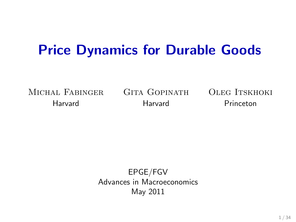# <span id="page-0-0"></span>Price Dynamics for Durable Goods

Michal Fabinger Gita Gopinath Oleg Itskhoki

Harvard Harvard Princeton

EPGE/FGV Advances in Macroeconomics May 2011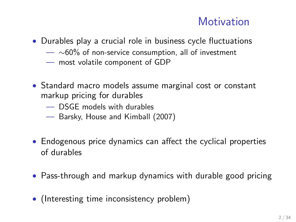#### **Motivation**

- Durables play a crucial role in business cycle fluctuations
	- $-$  ∼60% of non-service consumption, all of investment
	- most volatile component of GDP
- Standard macro models assume marginal cost or constant markup pricing for durables
	- DSGE models with durables
	- Barsky, House and Kimball (2007)
- Endogenous price dynamics can affect the cyclical properties of durables
- Pass-through and markup dynamics with durable good pricing
- (Interesting time inconsistency problem)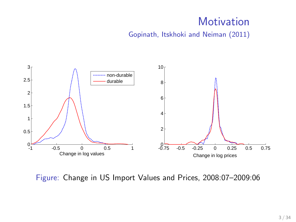### **Motivation**

Gopinath, Itskhoki and Neiman (2011)



Figure: Change in US Import Values and Prices, 2008:07-2009:06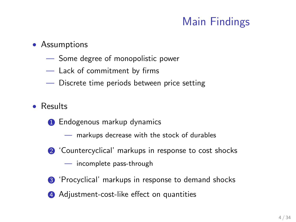# Main Findings

#### • Assumptions

- Some degree of monopolistic power
- Lack of commitment by firms
- Discrete time periods between price setting
- Results
	- **1** Endogenous markup dynamics
		- markups decrease with the stock of durables
	- **2** 'Countercyclical' markups in response to cost shocks
		- incomplete pass-through
	- <sup>3</sup> 'Procyclical' markups in response to demand shocks
	- 4 Adjustment-cost-like effect on quantities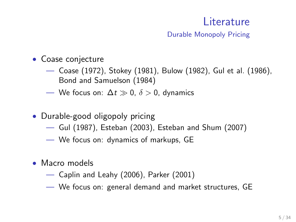## Literature

Durable Monopoly Pricing

- Coase conjecture
	- Coase (1972), Stokey (1981), Bulow (1982), Gul et al. (1986), Bond and Samuelson (1984)
	- We focus on:  $\Delta t \gg 0$ ,  $\delta > 0$ , dynamics
- Durable-good oligopoly pricing
	- Gul (1987), Esteban (2003), Esteban and Shum (2007)
	- We focus on: dynamics of markups, GE
- Macro models
	- Caplin and Leahy (2006), Parker (2001)
	- We focus on: general demand and market structures, GE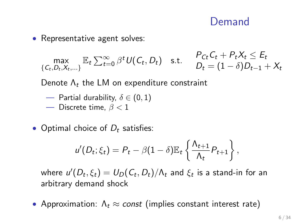#### Demand

• Representative agent solves:

$$
\max_{\{C_t, D_t, X_t, \ldots\}} \mathbb{E}_t \sum_{t=0}^{\infty} \beta^t U(C_t, D_t) \quad \text{s.t.} \quad \begin{array}{l} P_{Ct} C_t + P_t X_t \leq E_t \\ D_t = (1 - \delta) D_{t-1} + X_t \end{array}
$$

Denote  $\Lambda_t$  the LM on expenditure constraint

- Partial durability,  $\delta \in (0,1)$
- Discrete time,  $\beta < 1$
- Optimal choice of  $D_t$  satisfies:

$$
u'(D_t; \xi_t) = P_t - \beta (1 - \delta) \mathbb{E}_t \left\{ \frac{\Lambda_{t+1}}{\Lambda_t} P_{t+1} \right\},\,
$$

where  $u'(D_t, \xi_t) = U_D(\mathcal{C}_t, D_t)/\Lambda_t$  and  $\xi_t$  is a stand-in for an arbitrary demand shock

• Approximation:  $\Lambda_t \approx const$  (implies constant interest rate)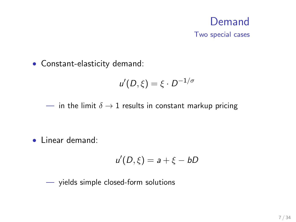# Demand

Two special cases

• Constant-elasticity demand:

$$
u'(D,\xi)=\xi\cdot D^{-1/\sigma}
$$

— in the limit  $\delta \rightarrow 1$  results in constant markup pricing

• Linear demand:

$$
u'(D,\xi)=a+\xi-bD
$$

— yields simple closed-form solutions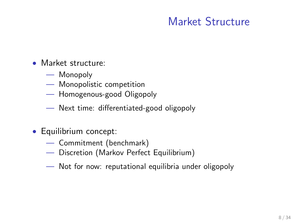### Market Structure

- Market structure:
	- Monopoly
	- Monopolistic competition
	- Homogenous-good Oligopoly
	- Next time: differentiated-good oligopoly
- Equilibrium concept:
	- Commitment (benchmark)
	- Discretion (Markov Perfect Equilibrium)
	- Not for now: reputational equilibria under oligopoly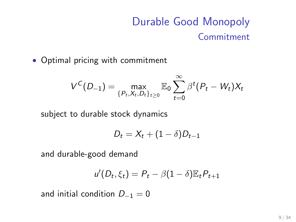# Durable Good Monopoly Commitment

• Optimal pricing with commitment

$$
V^{C}(D_{-1}) = \max_{\{P_t, X_t, D_t\}_{t \geq 0}} \mathbb{E}_0 \sum_{t=0}^{\infty} \beta^{t} (P_t - W_t) X_t
$$

subject to durable stock dynamics

$$
D_t = X_t + (1 - \delta)D_{t-1}
$$

and durable-good demand

$$
u'(D_t, \xi_t) = P_t - \beta (1 - \delta) \mathbb{E}_t P_{t+1}
$$

and initial condition  $D_{-1} = 0$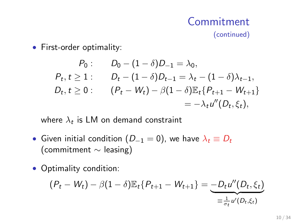#### Commitment (continued)

• First-order optimality:

$$
P_0: \t D_0 - (1 - \delta)D_{-1} = \lambda_0,
$$
  
\n
$$
P_t, t \ge 1: \t D_t - (1 - \delta)D_{t-1} = \lambda_t - (1 - \delta)\lambda_{t-1},
$$
  
\n
$$
D_t, t \ge 0: \t (P_t - W_t) - \beta(1 - \delta)\mathbb{E}_t\{P_{t+1} - W_{t+1}\}
$$
  
\n
$$
= -\lambda_t u''(D_t, \xi_t),
$$

where  $\lambda_t$  is LM on demand constraint

- Given initial condition  $(D_{-1} = 0)$ , we have  $\lambda_t \equiv D_t$ (commitment ∼ leasing)
- Optimality condition:

$$
(P_t - W_t) - \beta (1 - \delta) \mathbb{E}_t \{ P_{t+1} - W_{t+1} \} = \underbrace{-D_t u''(D_t, \xi_t)}_{\equiv \frac{1}{\sigma_t} u'(D_t, \xi_t)}
$$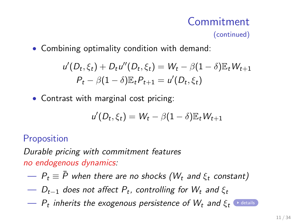#### Commitment (continued)

• Combining optimality condition with demand:

$$
u'(D_t, \xi_t) + D_t u''(D_t, \xi_t) = W_t - \beta (1 - \delta) \mathbb{E}_t W_{t+1}
$$
  
\n
$$
P_t - \beta (1 - \delta) \mathbb{E}_t P_{t+1} = u'(D_t, \xi_t)
$$

• Contrast with marginal cost pricing:

$$
u'(D_t, \xi_t) = W_t - \beta (1 - \delta) \mathbb{E}_t W_{t+1}
$$

Proposition

Durable pricing with commitment features no endogenous dynamics:

- P<sup>t</sup> ≡ P when there are no shocks (W ¯ <sup>t</sup> and ξ<sup>t</sup> constant)
- $D_{t-1}$  does not affect  $P_t$ , controlling for  $W_t$  and  $\xi_t$
- $\,P_t$  inherits the exogenous persistence of  $W_t$  and  $\xi_t$   $\,$   $\cdot$  [details](#page-0-0)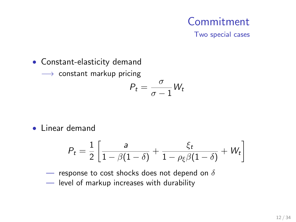# Commitment

Two special cases

• Constant-elasticity demand

 $\longrightarrow$  constant markup pricing

$$
P_t = \frac{\sigma}{\sigma - 1} W_t
$$

• Linear demand

$$
P_t = \frac{1}{2} \left[ \frac{a}{1 - \beta(1 - \delta)} + \frac{\xi_t}{1 - \rho_{\xi}\beta(1 - \delta)} + W_t \right]
$$

— response to cost shocks does not depend on  $\delta$ 

— level of markup increases with durability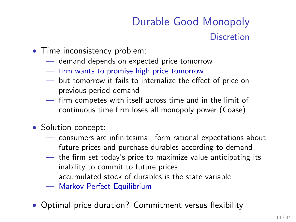# Durable Good Monopoly **Discretion**

- Time inconsistency problem:
	- demand depends on expected price tomorrow
	- firm wants to promise high price tomorrow
	- but tomorrow it fails to internalize the effect of price on previous-period demand
	- firm competes with itself across time and in the limit of continuous time firm loses all monopoly power (Coase)
- Solution concept:
	- consumers are infinitesimal, form rational expectations about future prices and purchase durables according to demand
	- the firm set today's price to maximize value anticipating its inability to commit to future prices
	- accumulated stock of durables is the state variable
	- Markov Perfect Equilibrium
- Optimal price duration? Commitment versus flexibility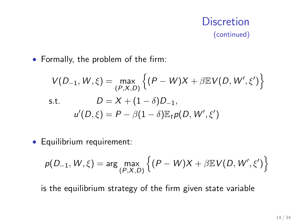#### **Discretion** (continued)

• Formally, the problem of the firm:

$$
V(D_{-1}, W, \xi) = \max_{(P, X, D)} \left\{ (P - W)X + \beta \mathbb{E} V(D, W', \xi') \right\}
$$
  
s.t. 
$$
D = X + (1 - \delta)D_{-1},
$$

$$
u'(D, \xi) = P - \beta(1 - \delta) \mathbb{E}_t p(D, W', \xi')
$$

• Equilibrium requirement:

$$
p(D_{-1}, W, \xi) = \arg \max_{(P, X, D)} \left\{ (P - W)X + \beta \mathbb{E} V(D, W', \xi') \right\}
$$

is the equilibrium strategy of the firm given state variable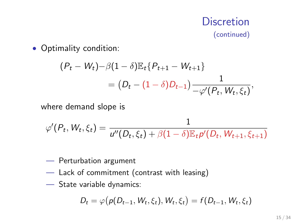#### **Discretion** (continued)

#### • Optimality condition:

$$
(P_t - W_t) - \beta (1 - \delta) \mathbb{E}_t \{ P_{t+1} - W_{t+1} \}
$$
  
=  $(D_t - (1 - \delta) D_{t-1}) \frac{1}{-\varphi'(P_t, W_t, \xi_t)},$ 

where demand slope is

$$
\varphi'(P_t, W_t, \xi_t) = \frac{1}{u''(D_t, \xi_t) + \beta(1 - \delta)\mathbb{E}_t p'(D_t, W_{t+1}, \xi_{t+1})}
$$

- Perturbation argument
- Lack of commitment (contrast with leasing)
- State variable dynamics:

$$
D_t = \varphi(p(D_{t-1}, W_t, \xi_t), W_t, \xi_t) = f(D_{t-1}, W_t, \xi_t)
$$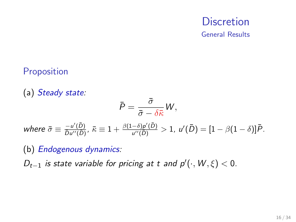#### **Discretion** General Results

#### **Proposition**

(a) Steady state:  $\bar{P}=\frac{\bar{\sigma}}{2}$  $\frac{\partial}{\partial \bar{\sigma}-\delta \bar{\kappa}} W,$ where  $\bar{\sigma} \equiv \frac{-u'(\bar{D})}{\bar{D}u''(\bar{D})}$  $\frac{-u'(\bar D)}{{\bar D}u''(\bar D)}, \ \bar\kappa\equiv 1+\frac{\beta(1-\delta){\rho'}(\bar D)}{u''(\bar D)}$  $\frac{(-\delta)\rho'(\bar{D})}{\mu''(\bar{D})}>1, \; \mu'(\bar{D})=[1-\beta(1-\delta)]\bar{P}.$ 

(b) Endogenous dynamics:

 $D_{t-1}$  is state variable for pricing at t and  $p'(\cdot, W, \xi) < 0$ .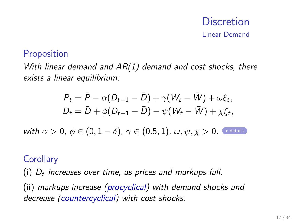# **Discretion**

Linear Demand

#### **Proposition**

With linear demand and  $AR(1)$  demand and cost shocks, there exists a linear equilibrium:

$$
P_t = \bar{P} - \alpha (D_{t-1} - \bar{D}) + \gamma (W_t - \bar{W}) + \omega \xi_t,
$$
  
\n
$$
D_t = \bar{D} + \phi (D_{t-1} - \bar{D}) - \psi (W_t - \bar{W}) + \chi \xi_t,
$$
  
\nwith  $\alpha > 0$ ,  $\phi \in (0, 1 - \delta)$ ,  $\gamma \in (0.5, 1)$ ,  $\omega, \psi, \chi > 0$ .

#### **Corollary**

(i)  $D_t$  increases over time, as prices and markups fall.

(ii) markups increase (procyclical) with demand shocks and decrease (countercyclical) with cost shocks.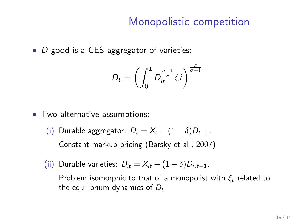#### Monopolistic competition

• D-good is a CES aggregator of varieties:

$$
D_t = \left(\int_0^1 D_t^{\frac{\sigma-1}{\sigma}} \mathrm{d}i\right)^{\frac{\sigma}{\sigma-1}}
$$

- Two alternative assumptions:
	- (i) Durable aggregator:  $D_t = X_t + (1 \delta)D_{t-1}$ .

Constant markup pricing (Barsky et al., 2007)

(ii) Durable varieties:  $D_{it} = X_{it} + (1 - \delta)D_{i,t-1}$ .

Problem isomorphic to that of a monopolist with  $\xi_t$  related to the equilibrium dynamics of  $D_t$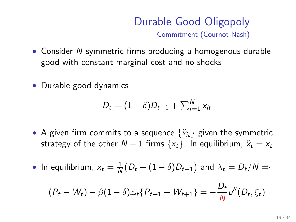#### Durable Good Oligopoly Commitment (Cournot-Nash)

- Consider N symmetric firms producing a homogenous durable good with constant marginal cost and no shocks
- Durable good dynamics

$$
D_t = (1 - \delta)D_{t-1} + \sum_{i=1}^N x_{it}
$$

- A given firm commits to a sequence  $\{\tilde{x}_{it}\}\$  given the symmetric strategy of the other  $N - 1$  firms  $\{x_t\}$ . In equilibrium,  $\tilde{x}_t = x_t$
- In equilibrium,  $x_t = \frac{1}{h}$  $\frac{1}{N} \big( D_t - (1 - \delta) D_{t-1} \big)$  and  $\lambda_t = D_t / N \Rightarrow$

$$
(P_t - W_t) - \beta (1 - \delta) \mathbb{E}_t \{ P_{t+1} - W_{t+1} \} = -\frac{D_t}{N} u''(D_t, \xi_t)
$$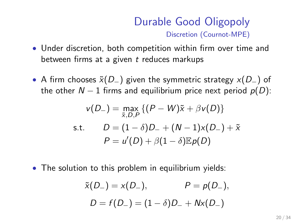#### Durable Good Oligopoly Discretion (Cournot-MPE)

- Under discretion, both competition within firm over time and between firms at a given  $t$  reduces markups
- A firm chooses  $\tilde{x}(D_{-})$  given the symmetric strategy  $x(D_{-})$  of the other  $N - 1$  firms and equilibrium price next period  $p(D)$ :

$$
v(D_{-}) = \max_{\tilde{x}, D, P} \{ (P - W)\tilde{x} + \beta v(D) \}
$$
  
s.t. 
$$
D = (1 - \delta)D_{-} + (N - 1)x(D_{-}) + \tilde{x}
$$

$$
P = u'(D) + \beta(1 - \delta) \mathbb{E}p(D)
$$

• The solution to this problem in equilibrium yields:

$$
\tilde{x}(D_{-}) = x(D_{-}),
$$
  $P = p(D_{-}),$   
 $D = f(D_{-}) = (1 - \delta)D_{-} + Nx(D_{-})$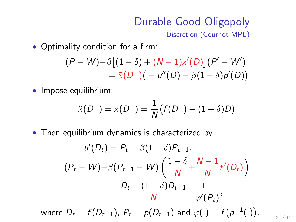# Durable Good Oligopoly

Discretion (Cournot-MPE)

• Optimality condition for a firm:

$$
(P - W) - \beta [(1 - \delta) + (N - 1)x'(D)] (P' - W') = \tilde{x}(D_{-}) ( - u''(D) - \beta (1 - \delta) p'(D))
$$

• Impose equilibrium:

$$
\tilde{x}(D_{-}) = x(D_{-}) = \frac{1}{N}(f(D_{-}) - (1 - \delta)D)
$$

• Then equilibrium dynamics is characterized by

$$
u'(D_t) = P_t - \beta (1 - \delta) P_{t+1},
$$
  
\n
$$
(P_t - W) - \beta (P_{t+1} - W) \left( \frac{1 - \delta}{N} + \frac{N - 1}{N} f'(D_t) \right)
$$
  
\n
$$
= \frac{D_t - (1 - \delta) D_{t-1}}{N} \frac{1}{-\varphi'(P_t)},
$$

where  $D_t = f(D_{t-1})$ ,  $P_t = p(D_{t-1})$  and  $\varphi(\cdot) = f\big(p^{-1}(\cdot)\big)$ . 21 / 34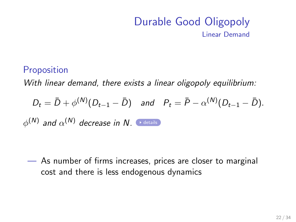#### Durable Good Oligopoly Linear Demand

#### **Proposition**

With linear demand, there exists a linear oligopoly equilibrium:

$$
D_t = \bar{D} + \phi^{(N)}(D_{t-1} - \bar{D})
$$
 and  $P_t = \bar{P} - \alpha^{(N)}(D_{t-1} - \bar{D}).$ 

 $\phi^{(\mathsf{N})}$  and  $\alpha^{(\mathsf{N})}$  decrease in  $\mathsf{N}.$  And [details](#page-0-0)

— As number of firms increases, prices are closer to marginal cost and there is less endogenous dynamics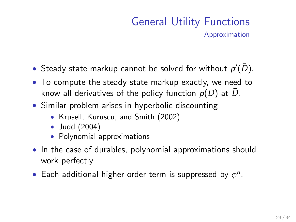- Steady state markup cannot be solved for without  $p'(\bar{D})$ .
- To compute the steady state markup exactly, we need to know all derivatives of the policy function  $p(D)$  at D.
- Similar problem arises in hyperbolic discounting
	- Krusell, Kuruscu, and Smith (2002)
	- Judd (2004)
	- Polynomial approximations
- In the case of durables, polynomial approximations should work perfectly.
- Each additional higher order term is suppressed by  $\phi^n$ .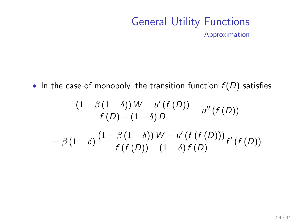• In the case of monopoly, the transition function  $f(D)$  satisfies

$$
\frac{\left(1-\beta\left(1-\delta\right)\right)W - u'\left(f\left(D\right)\right)}{f\left(D\right) - \left(1-\delta\right)D} - u''\left(f\left(D\right)\right)
$$
\n
$$
= \beta\left(1-\delta\right)\frac{\left(1-\beta\left(1-\delta\right)\right)W - u'\left(f\left(f\left(D\right)\right)\right)}{f\left(f\left(D\right)\right) - \left(1-\delta\right)f\left(D\right)}f'\left(f\left(D\right)\right)
$$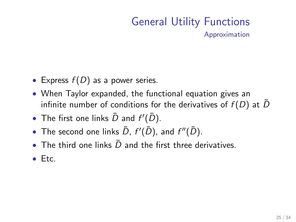- Express  $f(D)$  as a power series.
- When Taylor expanded, the functional equation gives an infinite number of conditions for the derivatives of  $f(D)$  at  $\overline{D}$
- The first one links  $\bar{D}$  and  $f'(\bar{D})$ .
- The second one links  $\bar{D}$ ,  $f'(\bar{D})$ , and  $f''(\bar{D})$ .
- The third one links  $\bar{D}$  and the first three derivatives.
- Etc.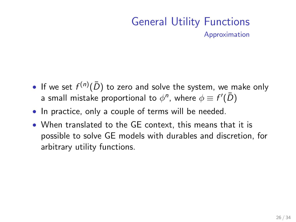- If we set  $f^{(n)}(\bar{D})$  to zero and solve the system, we make only a small mistake proportional to  $\phi^{\textit{n}}$ , where  $\phi \equiv f^{\prime}(\bar{D})$
- In practice, only a couple of terms will be needed.
- When translated to the GE context, this means that it is possible to solve GE models with durables and discretion, for arbitrary utility functions.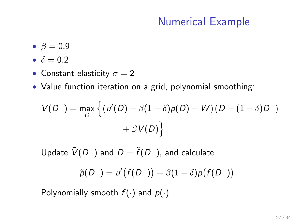- $\beta = 0.9$
- $\delta = 0.2$
- Constant elasticity  $\sigma = 2$
- Value function iteration on a grid, polynomial smoothing:

$$
V(D_{-}) = \max_{D} \left\{ \left( u'(D) + \beta(1-\delta)p(D) - W \right) (D - (1-\delta)D_{-}) + \beta V(D) \right\}
$$

Update  $\tilde{V}(D_{-})$  and  $D = \tilde{f}(D_{-})$ , and calculate

$$
\widetilde{p}(D_{-})=u'\big(f(D_{-})\big)+\beta(1-\delta)p\big(f(D_{-})\big)
$$

Polynomially smooth  $f(\cdot)$  and  $p(\cdot)$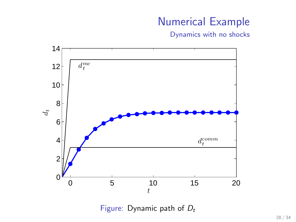Dynamics with no shocks



Figure: Dynamic path of  $D_t$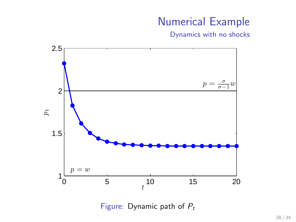Dynamics with no shocks



Figure: Dynamic path of  $P_t$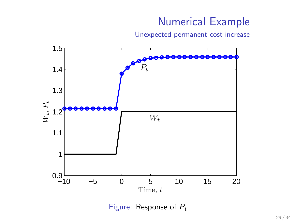Unexpected permanent cost increase



Figure: Response of  $P_t$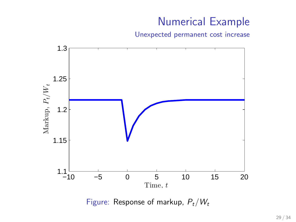Unexpected permanent cost increase



Figure: Response of markup,  $P_t/W_t$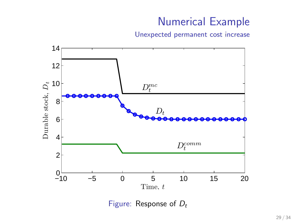Unexpected permanent cost increase



Figure: Response of  $D_t$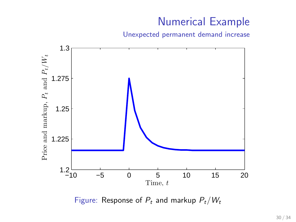Unexpected permanent demand increase



Figure: Response of  $P_t$  and markup  $P_t/W_t$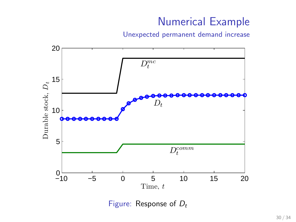Unexpected permanent demand increase



Figure: Response of  $D_t$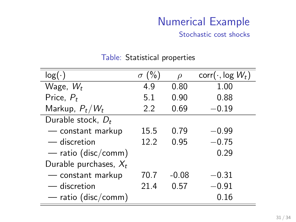Stochastic cost shocks

| log(·)                   | $\sigma$ (%) | $\Omega$ | $corr(\cdot, \log W_t)$ |
|--------------------------|--------------|----------|-------------------------|
| Wage, $W_t$              | 4.9          | 0.80     | 1.00                    |
| Price, $P_t$             | 5.1          | 0.90     | 0.88                    |
| Markup, $P_t/W_t$        | 2.2          | 0.69     | $-0.19$                 |
| Durable stock, $D_t$     |              |          |                         |
| — constant markup        | 15.5         | 0.79     | $-0.99$                 |
| — discretion             | 122          | 0.95     | $-0.75$                 |
| — ratio (disc/comm)      |              |          | 0.29                    |
| Durable purchases, $X_t$ |              |          |                         |
| - constant markup        | 70.7         | $-0.08$  | $-0.31$                 |
| — discretion             | 21.4         | 0.57     | $-0.91$                 |
| — ratio (disc/comm)      |              |          | 0.16                    |

#### Table: Statistical properties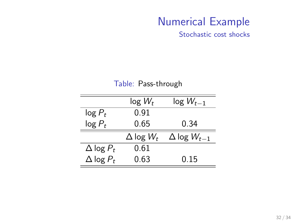Stochastic cost shocks

|                    | $log W_t$          | $log W_{t-1}$          |
|--------------------|--------------------|------------------------|
| $log P_t$          | 0.91               |                        |
| $log P_t$          | 0.65               | 0.34                   |
|                    | $\Delta$ log $W_t$ | $\Delta$ log $W_{t-1}$ |
| $\Delta$ log $P_t$ | 0.61               |                        |
| $\Delta$ log $P_t$ | 0.63               | 0.15                   |

#### Table: Pass-through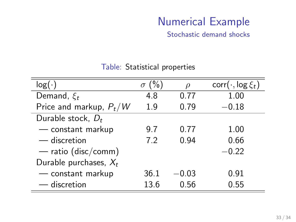Stochastic demand shocks

| $log($ .                  | (% )<br>$\sigma$ | Ω       | $corr(\cdot, \log \xi_t)$ |
|---------------------------|------------------|---------|---------------------------|
| Demand, $\xi_t$           | 4.8              | 0.77    | 1.00                      |
| Price and markup, $P_t/W$ | 1.9              | 0.79    | $-0.18$                   |
| Durable stock, $D_t$      |                  |         |                           |
| - constant markup         | 9.7              | 0.77    | 1.00                      |
| — discretion              | 7.2              | 0.94    | 0.66                      |
| $-$ ratio (disc/comm)     |                  |         | $-0.22$                   |
| Durable purchases, $X_t$  |                  |         |                           |
| - constant markup         | 36.1             | $-0.03$ | 0.91                      |
| - discretion              | 13.6             | 0.56    | 0.55                      |

#### Table: Statistical properties